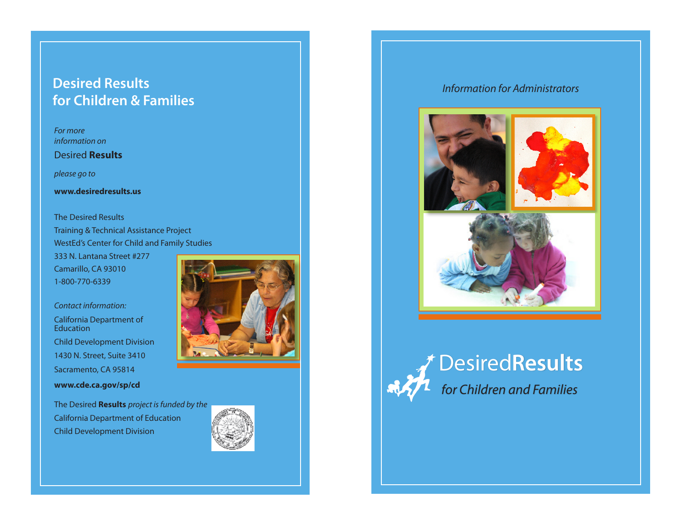## **Desired Results** *Information for Administrators* **for Children & Families**

*For more information on*

Desired **Results** 

*please go to*

**www.desiredresults.us**

The Desired Results Training & Technical Assistance Project WestEd's Center for Child and Family Studies

333 N. Lantana Street #277 Camarillo, CA 93010 1-800-770-6339

*Contact information:*

California Department of Education Child Development Division 1430 N. Street, Suite 3410 Sacramento, CA 95814 **www.cde.ca.gov/sp/cd**

Child Development Division

The Desired **Results** *project is funded by the* California Department of Education